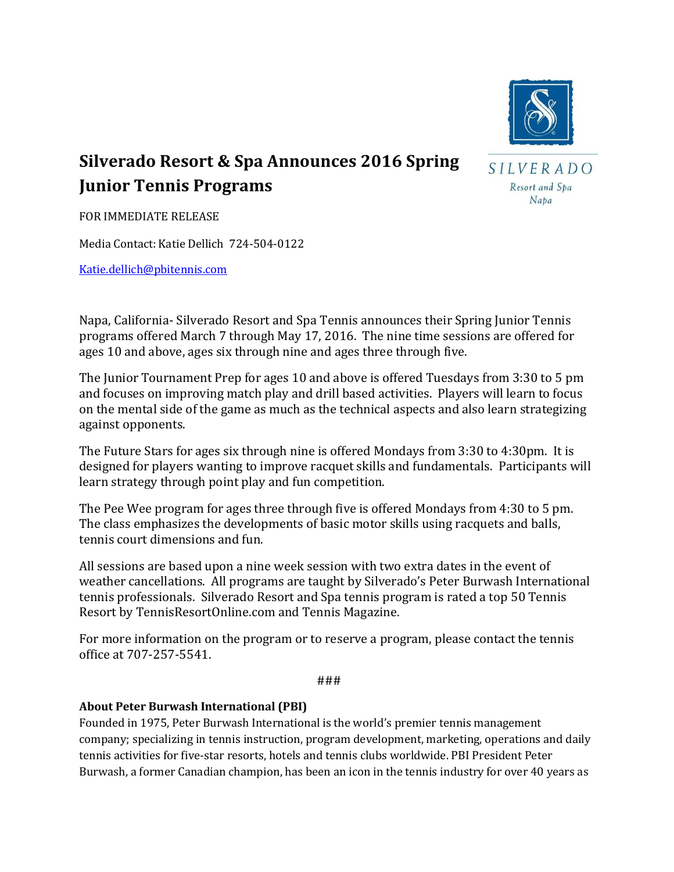

## **Silverado Resort & Spa Announces 2016 Spring Junior Tennis Programs**

SILVERADO Resort and Spa Napa

FOR IMMEDIATE RELEASE

Media Contact: Katie Dellich 724-504-0122

[Katie.dellich@pbitennis.com](mailto:Katie.dellich@pbitennis.com)

Napa, California- Silverado Resort and Spa Tennis announces their Spring Junior Tennis programs offered March 7 through May 17, 2016. The nine time sessions are offered for ages 10 and above, ages six through nine and ages three through five.

The Junior Tournament Prep for ages 10 and above is offered Tuesdays from 3:30 to 5 pm and focuses on improving match play and drill based activities. Players will learn to focus on the mental side of the game as much as the technical aspects and also learn strategizing against opponents.

The Future Stars for ages six through nine is offered Mondays from 3:30 to 4:30pm. It is designed for players wanting to improve racquet skills and fundamentals. Participants will learn strategy through point play and fun competition.

The Pee Wee program for ages three through five is offered Mondays from 4:30 to 5 pm. The class emphasizes the developments of basic motor skills using racquets and balls, tennis court dimensions and fun.

All sessions are based upon a nine week session with two extra dates in the event of weather cancellations. All programs are taught by Silverado's Peter Burwash International tennis professionals. Silverado Resort and Spa tennis program is rated a top 50 Tennis Resort by TennisResortOnline.com and Tennis Magazine.

For more information on the program or to reserve a program, please contact the tennis office at 707-257-5541.

###

## **About Peter Burwash International (PBI)**

Founded in 1975, Peter Burwash International is the world's premier tennis management company; specializing in tennis instruction, program development, marketing, operations and daily tennis activities for five-star resorts, hotels and tennis clubs worldwide. PBI President Peter Burwash, a former Canadian champion, has been an icon in the tennis industry for over 40 years as